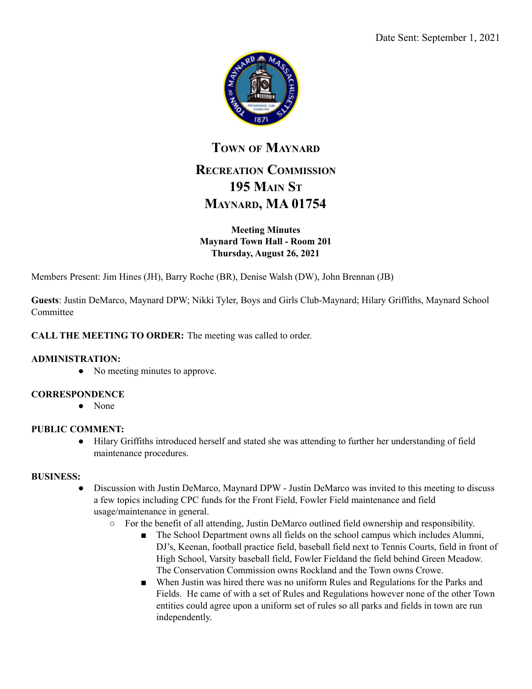

# **TOWN OF MAYNARD RECREATION COMMISSION 195 MAIN ST MAYNARD, MA 01754**

## **Meeting Minutes Maynard Town Hall - Room 201 Thursday, August 26, 2021**

Members Present: Jim Hines (JH), Barry Roche (BR), Denise Walsh (DW), John Brennan (JB)

**Guests**: Justin DeMarco, Maynard DPW; Nikki Tyler, Boys and Girls Club-Maynard; Hilary Griffiths, Maynard School Committee

## **CALL THE MEETING TO ORDER:** The meeting was called to order.

#### **ADMINISTRATION:**

• No meeting minutes to approve.

#### **CORRESPONDENCE**

● None

#### **PUBLIC COMMENT:**

● Hilary Griffiths introduced herself and stated she was attending to further her understanding of field maintenance procedures.

#### **BUSINESS:**

- Discussion with Justin DeMarco, Maynard DPW Justin DeMarco was invited to this meeting to discuss a few topics including CPC funds for the Front Field, Fowler Field maintenance and field usage/maintenance in general.
	- $\circ$  For the benefit of all attending, Justin DeMarco outlined field ownership and responsibility.
		- The School Department owns all fields on the school campus which includes Alumni, DJ's, Keenan, football practice field, baseball field next to Tennis Courts, field in front of High School, Varsity baseball field, Fowler Fieldand the field behind Green Meadow. The Conservation Commission owns Rockland and the Town owns Crowe.
		- When Justin was hired there was no uniform Rules and Regulations for the Parks and Fields. He came of with a set of Rules and Regulations however none of the other Town entities could agree upon a uniform set of rules so all parks and fields in town are run independently.